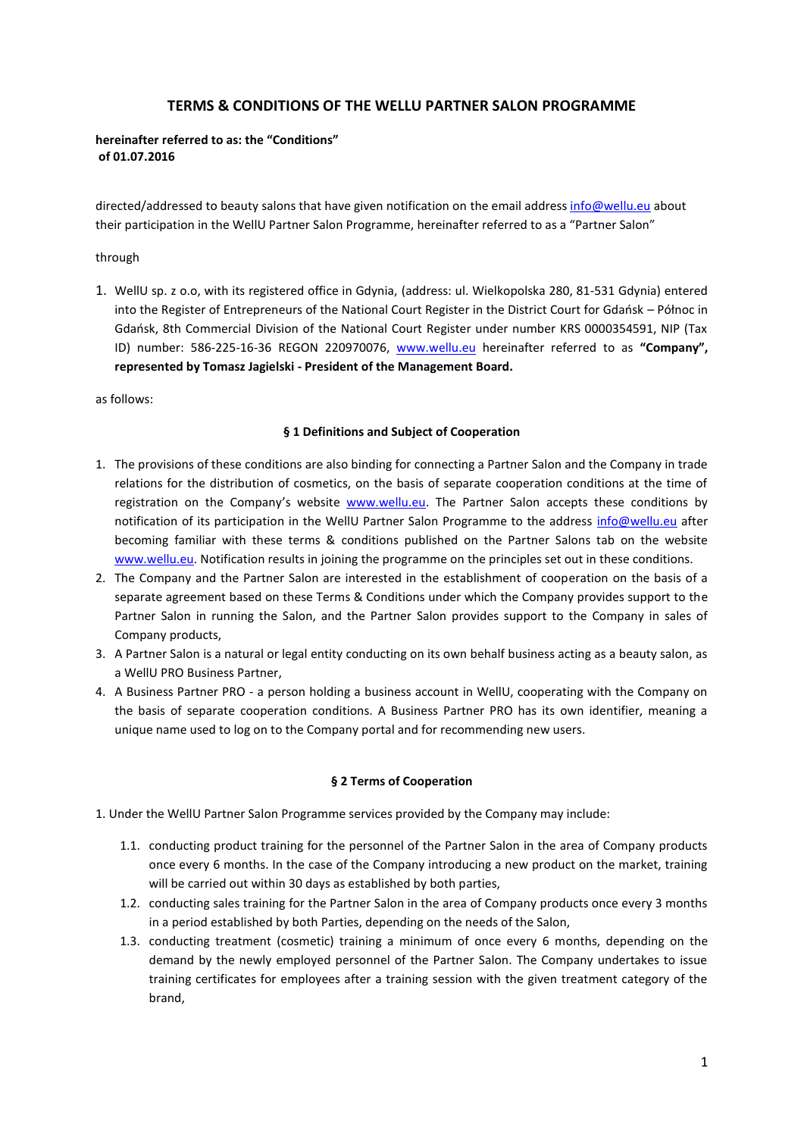# **TERMS & CONDITIONS OF THE WELLU PARTNER SALON PROGRAMME**

#### **hereinafter referred to as: the "Conditions" of 01.07.2016**

directed/addressed to beauty salons that have given notification on the email addres[s info@wellu.eu](mailto:info@wellu.eu) about their participation in the WellU Partner Salon Programme, hereinafter referred to as a "Partner Salon"

through

1. WellU sp. z o.o, with its registered office in Gdynia, (address: ul. Wielkopolska 280, 81-531 Gdynia) entered into the Register of Entrepreneurs of the National Court Register in the District Court for Gdańsk – Północ in Gdańsk, 8th Commercial Division of the National Court Register under number KRS 0000354591, NIP (Tax ID) number: 586-225-16-36 REGON 220970076, [www.wellu.eu](http://www.wellu.eu/) hereinafter referred to as **"Company", represented by Tomasz Jagielski - President of the Management Board.**

as follows:

#### **§ 1 Definitions and Subject of Cooperation**

- 1. The provisions of these conditions are also binding for connecting a Partner Salon and the Company in trade relations for the distribution of cosmetics, on the basis of separate cooperation conditions at the time of registration on the Company's website [www.wellu.eu.](http://www.wellu.eu/) The Partner Salon accepts these conditions by notification of its participation in the WellU Partner Salon Programme to the address [info@wellu.eu](mailto:info@wellu.eu) after becoming familiar with these terms & conditions published on the Partner Salons tab on the website [www.wellu.eu.](http://www.wellu.eu/) Notification results in joining the programme on the principles set out in these conditions.
- 2. The Company and the Partner Salon are interested in the establishment of cooperation on the basis of a separate agreement based on these Terms & Conditions under which the Company provides support to the Partner Salon in running the Salon, and the Partner Salon provides support to the Company in sales of Company products,
- 3. A Partner Salon is a natural or legal entity conducting on its own behalf business acting as a beauty salon, as a WellU PRO Business Partner,
- 4. A Business Partner PRO a person holding a business account in WellU, cooperating with the Company on the basis of separate cooperation conditions. A Business Partner PRO has its own identifier, meaning a unique name used to log on to the Company portal and for recommending new users.

# **§ 2 Terms of Cooperation**

- 1. Under the WellU Partner Salon Programme services provided by the Company may include:
	- 1.1. conducting product training for the personnel of the Partner Salon in the area of Company products once every 6 months. In the case of the Company introducing a new product on the market, training will be carried out within 30 days as established by both parties,
	- 1.2. conducting sales training for the Partner Salon in the area of Company products once every 3 months in a period established by both Parties, depending on the needs of the Salon,
	- 1.3. conducting treatment (cosmetic) training a minimum of once every 6 months, depending on the demand by the newly employed personnel of the Partner Salon. The Company undertakes to issue training certificates for employees after a training session with the given treatment category of the brand,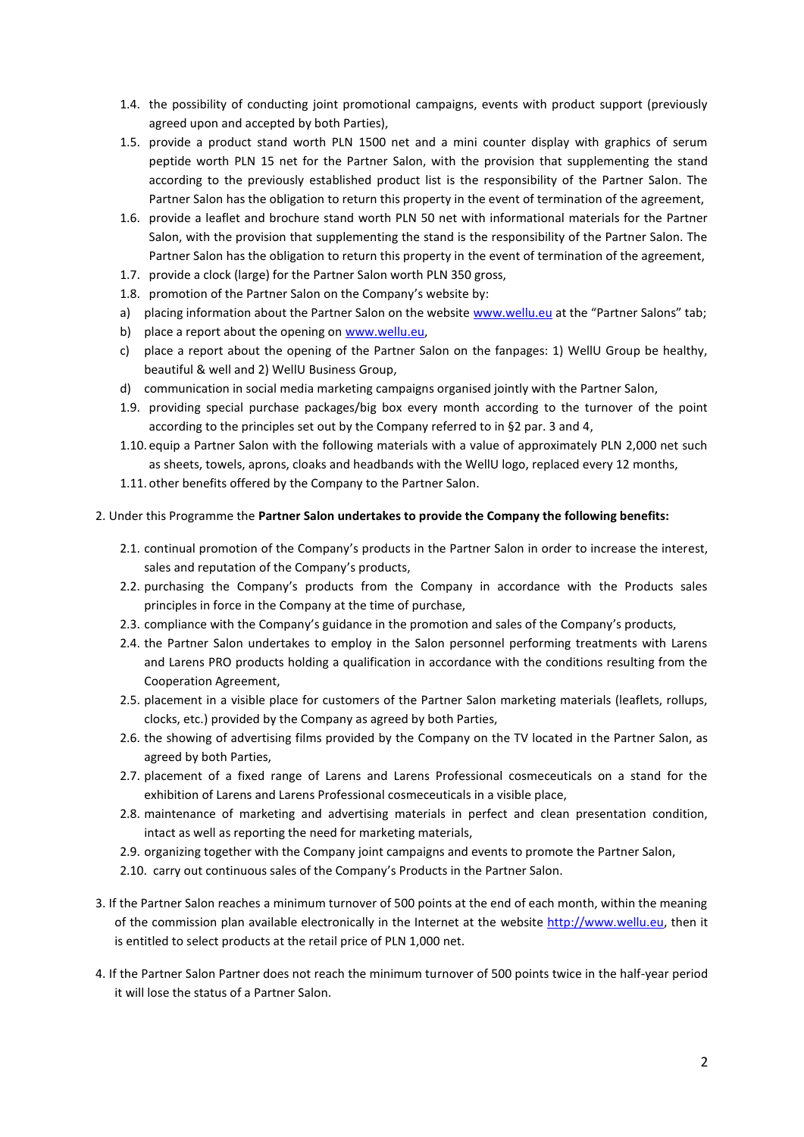- 1.4. the possibility of conducting joint promotional campaigns, events with product support (previously agreed upon and accepted by both Parties),
- 1.5. provide a product stand worth PLN 1500 net and a mini counter display with graphics of serum peptide worth PLN 15 net for the Partner Salon, with the provision that supplementing the stand according to the previously established product list is the responsibility of the Partner Salon. The Partner Salon has the obligation to return this property in the event of termination of the agreement,
- 1.6. provide a leaflet and brochure stand worth PLN 50 net with informational materials for the Partner Salon, with the provision that supplementing the stand is the responsibility of the Partner Salon. The Partner Salon has the obligation to return this property in the event of termination of the agreement,
- 1.7. provide a clock (large) for the Partner Salon worth PLN 350 gross,
- 1.8. promotion of the Partner Salon on the Company's website by:
- a) placing information about the Partner Salon on the website [www.wellu.eu](http://www.wellu.eu/) at the "Partner Salons" tab;
- b) place a report about the opening on www.wellu.eu,
- c) place a report about the opening of the Partner Salon on the fanpages: 1) WellU Group be healthy, beautiful & well and 2) WellU Business Group,
- d) communication in social media marketing campaigns organised jointly with the Partner Salon,
- 1.9. providing special purchase packages/big box every month according to the turnover of the point according to the principles set out by the Company referred to in §2 par. 3 and 4,
- 1.10. equip a Partner Salon with the following materials with a value of approximately PLN 2,000 net such as sheets, towels, aprons, cloaks and headbands with the WellU logo, replaced every 12 months,
- 1.11. other benefits offered by the Company to the Partner Salon.
- 2. Under this Programme the **Partner Salon undertakes to provide the Company the following benefits:**
	- 2.1. continual promotion of the Company's products in the Partner Salon in order to increase the interest, sales and reputation of the Company's products,
	- 2.2. purchasing the Company's products from the Company in accordance with the Products sales principles in force in the Company at the time of purchase,
	- 2.3. compliance with the Company's guidance in the promotion and sales of the Company's products,
	- 2.4. the Partner Salon undertakes to employ in the Salon personnel performing treatments with Larens and Larens PRO products holding a qualification in accordance with the conditions resulting from the Cooperation Agreement,
	- 2.5. placement in a visible place for customers of the Partner Salon marketing materials (leaflets, rollups, clocks, etc.) provided by the Company as agreed by both Parties,
	- 2.6. the showing of advertising films provided by the Company on the TV located in the Partner Salon, as agreed by both Parties,
	- 2.7. placement of a fixed range of Larens and Larens Professional cosmeceuticals on a stand for the exhibition of Larens and Larens Professional cosmeceuticals in a visible place,
	- 2.8. maintenance of marketing and advertising materials in perfect and clean presentation condition, intact as well as reporting the need for marketing materials,
	- 2.9. organizing together with the Company joint campaigns and events to promote the Partner Salon,
	- 2.10. carry out continuous sales of the Company's Products in the Partner Salon.
- 3. If the Partner Salon reaches a minimum turnover of 500 points at the end of each month, within the meaning of the commission plan available electronically in the Internet at the website [http://www.wellu.eu,](http://www.wellu.eu/) then it is entitled to select products at the retail price of PLN 1,000 net.
- 4. If the Partner Salon Partner does not reach the minimum turnover of 500 points twice in the half-year period it will lose the status of a Partner Salon.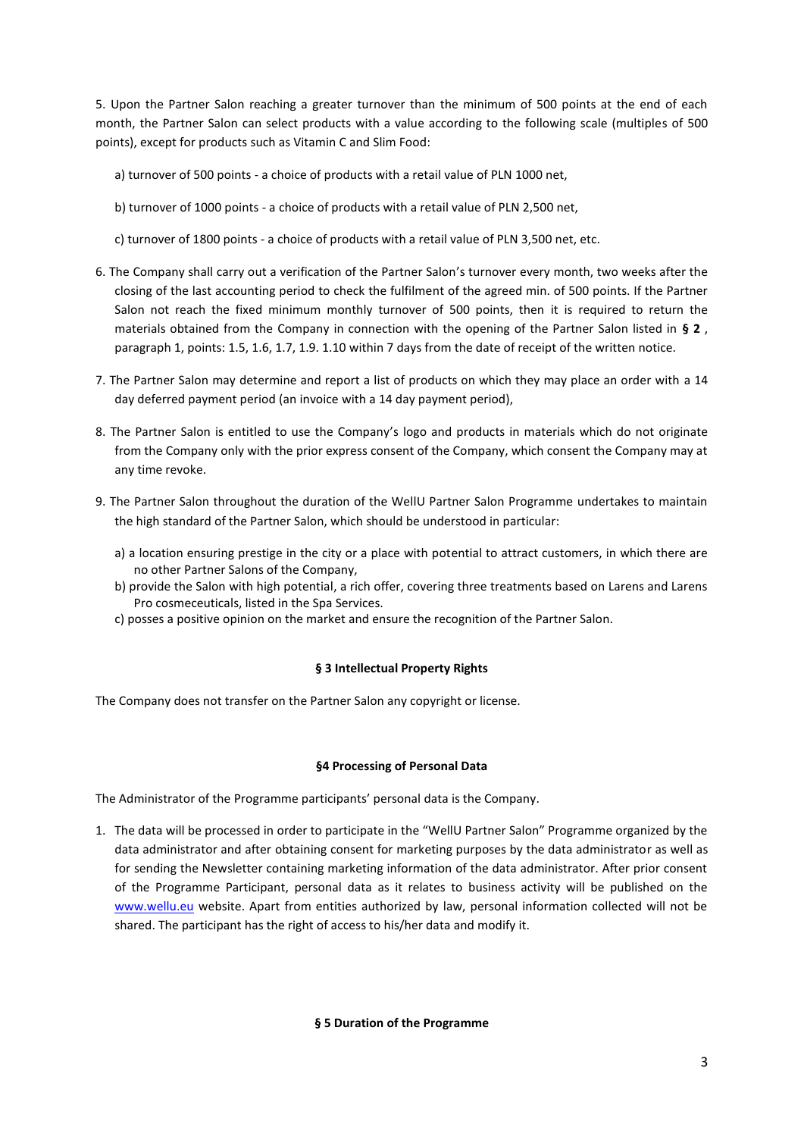5. Upon the Partner Salon reaching a greater turnover than the minimum of 500 points at the end of each month, the Partner Salon can select products with a value according to the following scale (multiples of 500 points), except for products such as Vitamin C and Slim Food:

- a) turnover of 500 points a choice of products with a retail value of PLN 1000 net,
- b) turnover of 1000 points a choice of products with a retail value of PLN 2,500 net,

c) turnover of 1800 points - a choice of products with a retail value of PLN 3,500 net, etc.

- 6. The Company shall carry out a verification of the Partner Salon's turnover every month, two weeks after the closing of the last accounting period to check the fulfilment of the agreed min. of 500 points. If the Partner Salon not reach the fixed minimum monthly turnover of 500 points, then it is required to return the materials obtained from the Company in connection with the opening of the Partner Salon listed in **§ 2** , paragraph 1, points: 1.5, 1.6, 1.7, 1.9. 1.10 within 7 days from the date of receipt of the written notice.
- 7. The Partner Salon may determine and report a list of products on which they may place an order with a 14 day deferred payment period (an invoice with a 14 day payment period),
- 8. The Partner Salon is entitled to use the Company's logo and products in materials which do not originate from the Company only with the prior express consent of the Company, which consent the Company may at any time revoke.
- 9. The Partner Salon throughout the duration of the WellU Partner Salon Programme undertakes to maintain the high standard of the Partner Salon, which should be understood in particular:
	- a) a location ensuring prestige in the city or a place with potential to attract customers, in which there are no other Partner Salons of the Company,
	- b) provide the Salon with high potential, a rich offer, covering three treatments based on Larens and Larens Pro cosmeceuticals, listed in the Spa Services.
	- c) posses a positive opinion on the market and ensure the recognition of the Partner Salon.

# **§ 3 Intellectual Property Rights**

The Company does not transfer on the Partner Salon any copyright or license.

# **§4 Processing of Personal Data**

The Administrator of the Programme participants' personal data is the Company.

1. The data will be processed in order to participate in the "WellU Partner Salon" Programme organized by the data administrator and after obtaining consent for marketing purposes by the data administrator as well as for sending the Newsletter containing marketing information of the data administrator. After prior consent of the Programme Participant, personal data as it relates to business activity will be published on the [www.wellu.eu](http://www.wellu.eu/) website. Apart from entities authorized by law, personal information collected will not be shared. The participant has the right of access to his/her data and modify it.

#### **§ 5 Duration of the Programme**